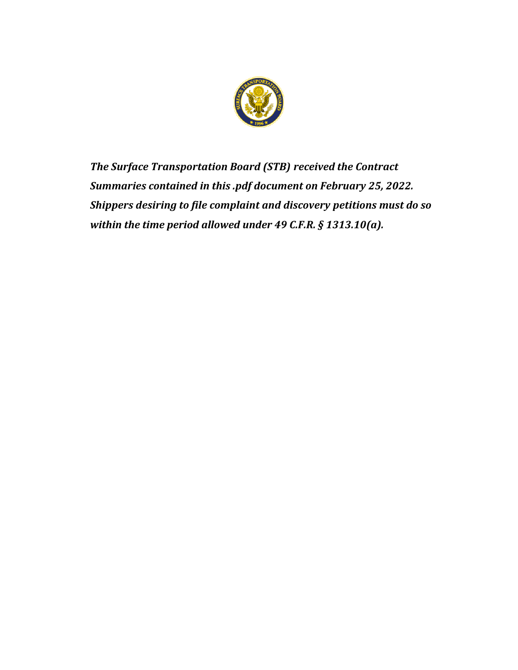

*The Surface Transportation Board (STB) received the Contract Summaries contained in this .pdf document on February 25, 2022. Shippers desiring to file complaint and discovery petitions must do so within the time period allowed under 49 C.F.R. § 1313.10(a).*